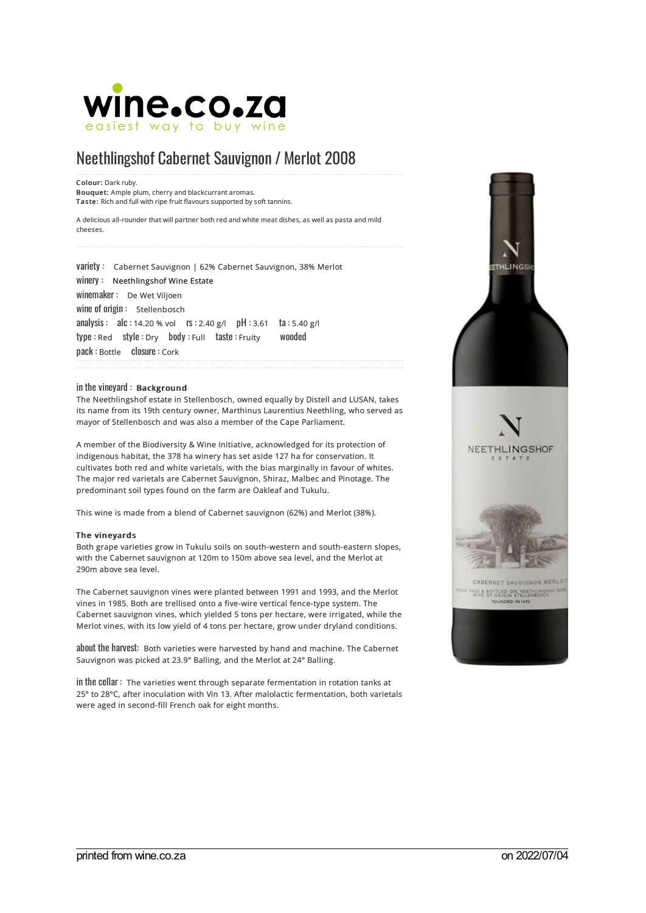

## Neethlingshof Cabernet Sauvignon / Merlot 2008

Colour: Dark ruby. Bouquet: Ample plum, cherry and blackcurrant aromas. Taste: Rich and full with ripe fruit flavours supported by soft tannins.

A delicious all-rounder that will partner both red and white meat dishes, as well as pasta and mild cheeses.

variety : Cabernet Sauvignon <sup>|</sup> 62% Cabernet Sauvignon, 38% Merlot winery : [Neethlingshof](https://wine.co.za/winery/winery.aspx?CLIENTID=1162) Wine Estate winemaker : De Wet Viljoen wine of origin: Stellenbosch analysis : alc :14.20 % vol rs :2.40 g/l pH:3.61 ta :5.40 g/l type : Red style : Dry body : Full taste : Fruity wooded pack : Bottle closure : Cork

## in the vineyard : Background

The Neethlingshof estate in Stellenbosch, owned equally by Distell and LUSAN, takes its name from its 19th century owner, Marthinus Laurentius Neethling, who served as mayor of Stellenbosch and was also a member of the Cape Parliament.

A member of the Biodiversity & Wine Initiative, acknowledged for its protection of indigenous habitat, the 378 ha winery has set aside 127 ha for conservation. It cultivates both red and white varietals, with the bias marginally in favour of whites. The major red varietals are Cabernet Sauvignon, Shiraz, Malbec and Pinotage. The predominant soil types found on the farm are Oakleaf and Tukulu.

This wine is made from a blend of Cabernet sauvignon (62%) and Merlot (38%).

## The vineyards

Both grape varieties grow in Tukulu soils on south-western and south-eastern slopes, with the Cabernet sauvignon at 120m to 150m above sea level, and the Merlot at 290m above sea level.

The Cabernet sauvignon vines were planted between 1991 and 1993, and the Merlot vines in 1985. Both are trellised onto a five-wire vertical fence-type system. The Cabernet sauvignon vines, which yielded 5 tons per hectare, were irrigated, while the Merlot vines, with its low yield of 4 tons per hectare, grow under dryland conditions.

about the harvest: Both varieties were harvested by hand and machine. The Cabernet Sauvignon was picked at 23.9° Balling, and the Merlot at 24° Balling.

inthe cellar : The varieties went through separate fermentation in rotation tanks at 25° to 28°C, after inoculation with Vin 13. After malolactic fermentation, both varietals were aged in second-fill French oak for eight months.